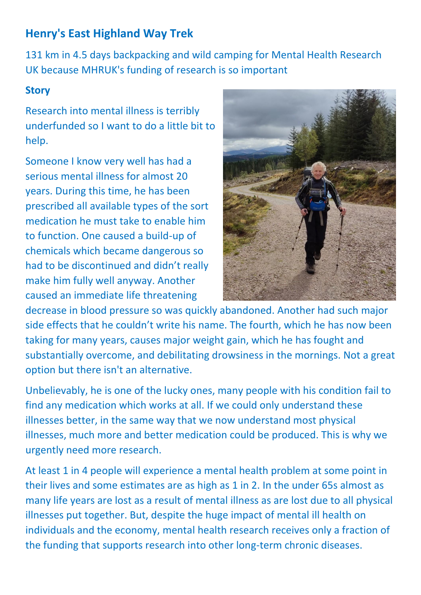# **Henry's East Highland Way Trek**

131 km in 4.5 days backpacking and wild camping for Mental Health Research UK because MHRUK's funding of research is so important

#### **Story**

Research into mental illness is terribly underfunded so I want to do a little bit to help.

Someone I know very well has had a serious mental illness for almost 20 years. During this time, he has been prescribed all available types of the sort medication he must take to enable him to function. One caused a build-up of chemicals which became dangerous so had to be discontinued and didn't really make him fully well anyway. Another caused an immediate life threatening



decrease in blood pressure so was quickly abandoned. Another had such major side effects that he couldn't write his name. The fourth, which he has now been taking for many years, causes major weight gain, which he has fought and substantially overcome, and debilitating drowsiness in the mornings. Not a great option but there isn't an alternative.

Unbelievably, he is one of the lucky ones, many people with his condition fail to find any medication which works at all. If we could only understand these illnesses better, in the same way that we now understand most physical illnesses, much more and better medication could be produced. This is why we urgently need more research.

At least 1 in 4 people will experience a mental health problem at some point in their lives and some estimates are as high as 1 in 2. In the under 65s almost as many life years are lost as a result of mental illness as are lost due to all physical illnesses put together. But, despite the huge impact of mental ill health on individuals and the economy, mental health research receives only a fraction of the funding that supports research into other long-term chronic diseases.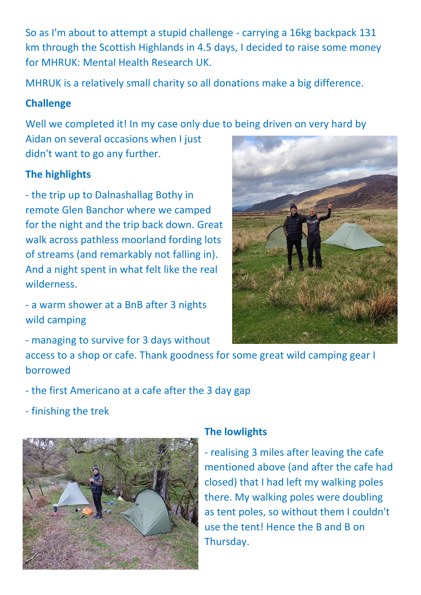So as I'm about to attempt a stupid challenge - carrying a 16kg backpack 131 km through the Scottish Highlands in 4.5 days, I decided to raise some money for MHRUK: Mental Health Research UK.

MHRUK is a relatively small charity so all donations make a big difference.

### **Challenge**

Well we completed it! In my case only due to being driven on very hard by

Aidan on several occasions when I just didn't want to go any further.

## **The highlights**

- the trip up to Dalnashallag Bothy in remote Glen Banchor where we camped for the night and the trip back down. Great walk across pathless moorland fording lots of streams (and remarkably not falling in). And a night spent in what felt like the real wilderness.

- a warm shower at a BnB after 3 nights wild camping

- managing to survive for 3 days without

access to a shop or cafe. Thank goodness for some great wild camping gear I borrowed

- the first Americano at a cafe after the 3 day gap
- finishing the trek



### **The lowlights**

- realising 3 miles after leaving the cafe mentioned above (and after the cafe had closed) that I had left my walking poles there. My walking poles were doubling as tent poles, so without them I couldn't use the tent! Hence the B and B on Thursday.